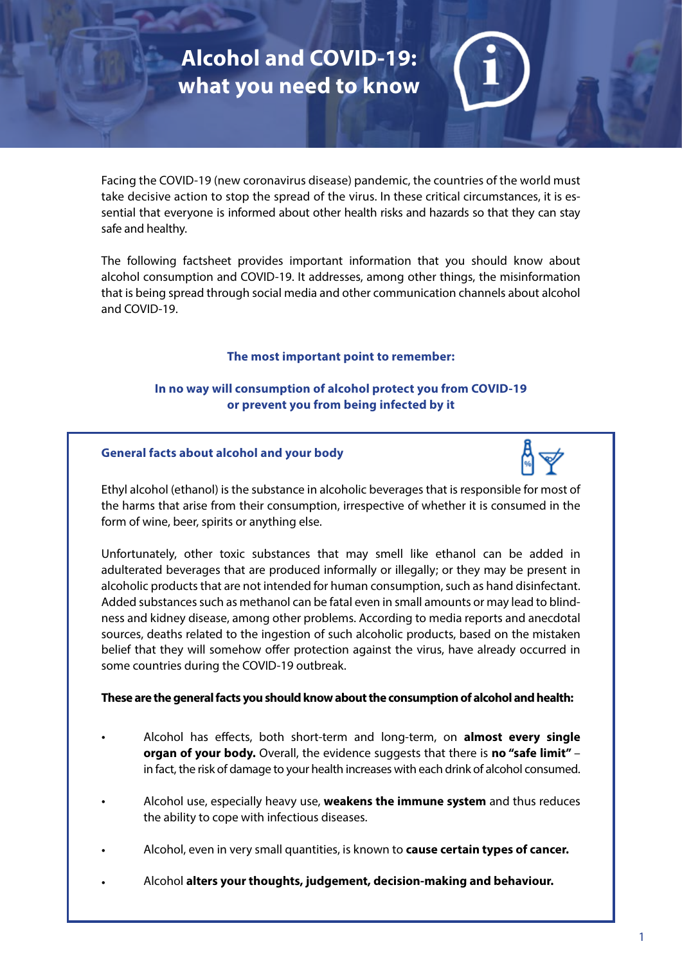# **Alcohol and COVID-19: what you need to know**

Facing the COVID-19 (new coronavirus disease) pandemic, the countries of the world must take decisive action to stop the spread of the virus. In these critical circumstances, it is essential that everyone is informed about other health risks and hazards so that they can stay safe and healthy.

The following factsheet provides important information that you should know about alcohol consumption and COVID-19. It addresses, among other things, the misinformation that is being spread through social media and other communication channels about alcohol and COVID-19.

## **The most important point to remember:**

# **In no way will consumption of alcohol protect you from COVID-19 or prevent you from being infected by it**

## **General facts about alcohol and your body**



Ethyl alcohol (ethanol) is the substance in alcoholic beverages that is responsible for most of the harms that arise from their consumption, irrespective of whether it is consumed in the form of wine, beer, spirits or anything else.

Unfortunately, other toxic substances that may smell like ethanol can be added in adulterated beverages that are produced informally or illegally; or they may be present in alcoholic products that are not intended for human consumption, such as hand disinfectant. Added substances such as methanol can be fatal even in small amounts or may lead to blindness and kidney disease, among other problems. According to media reports and anecdotal sources, deaths related to the ingestion of such alcoholic products, based on the mistaken belief that they will somehow offer protection against the virus, have already occurred in some countries during the COVID-19 outbreak.

## **These are the general facts you should know about the consumption of alcohol and health:**

- Alcohol has effects, both short-term and long-term, on **almost every single organ of your body.** Overall, the evidence suggests that there is **no "safe limit"** – in fact, the risk of damage to your health increases with each drink of alcohol consumed. •
- Alcohol use, especially heavy use, **weakens the immune system** and thus reduces the ability to cope with infectious diseases. •
- Alcohol, even in very small quantities, is known to **cause certain types of cancer.** •
- Alcohol **alters your thoughts, judgement, decision-making and behaviour.** •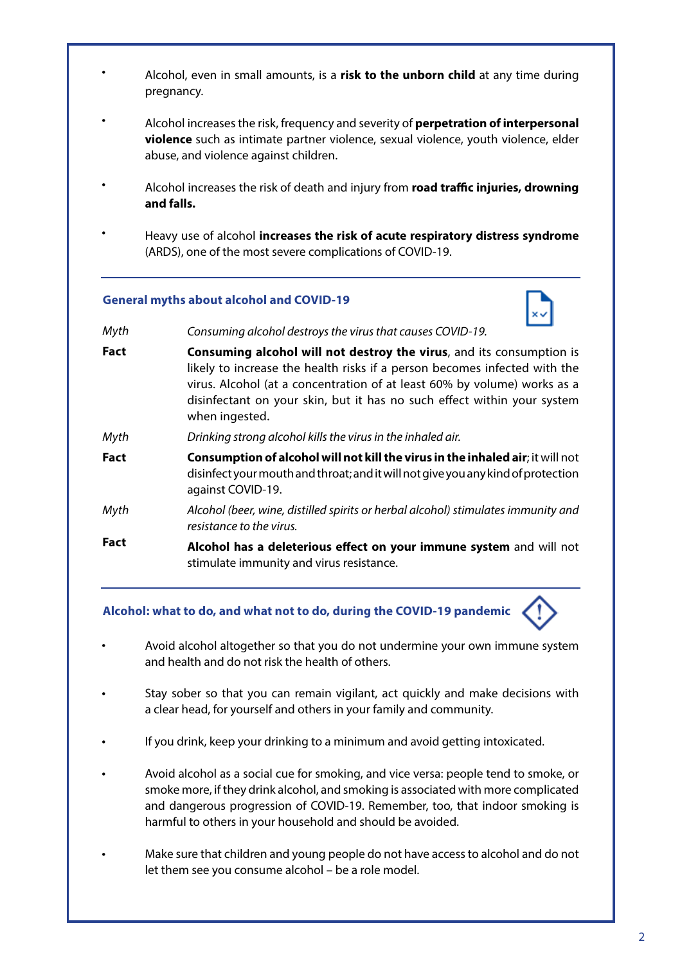- Alcohol, even in small amounts, is a **risk to the unborn child** at any time during pregnancy. •
- Alcohol increases the risk, frequency and severity of **perpetration of interpersonal violence** such as intimate partner violence, sexual violence, youth violence, elder abuse, and violence against children. •
- Alcohol increases the risk of death and injury from **road tra!c injuries, drowning and falls.** •
- Heavy use of alcohol **increases the risk of acute respiratory distress syndrome**  (ARDS), one of the most severe complications of COVID-19. •

## **General myths about alcohol and COVID-19**



- *Consuming alcohol destroys the virus that causes COVID-19. Myth*
- **Consuming alcohol will not destroy the virus**, and its consumption is likely to increase the health risks if a person becomes infected with the virus. Alcohol (at a concentration of at least 60% by volume) works as a disinfectant on your skin, but it has no such effect within your system when ingested. **Fact**
- *Drinking strong alcohol kills the virus in the inhaled air. Myth*
- **Consumption of alcohol will not kill the virus in the inhaled air**; it will not disinfect your mouth and throat; and it will not give you any kind of protection against COVID-19. **Fact**
- *Alcohol (beer, wine, distilled spirits or herbal alcohol) stimulates immunity and resistance to the virus. Myth*
- **Alcohol has a deleterious e"ect on your immune system** and will not stimulate immunity and virus resistance. **Fact**

**Alcohol: what to do, and what not to do, during the COVID-19 pandemic**

- Avoid alcohol altogether so that you do not undermine your own immune system and health and do not risk the health of others. •
- Stay sober so that you can remain vigilant, act quickly and make decisions with a clear head, for yourself and others in your family and community. •
- If you drink, keep your drinking to a minimum and avoid getting intoxicated. •
- Avoid alcohol as a social cue for smoking, and vice versa: people tend to smoke, or smoke more, if they drink alcohol, and smoking is associated with more complicated and dangerous progression of COVID-19. Remember, too, that indoor smoking is harmful to others in your household and should be avoided. •
- Make sure that children and young people do not have access to alcohol and do not let them see you consume alcohol – be a role model. •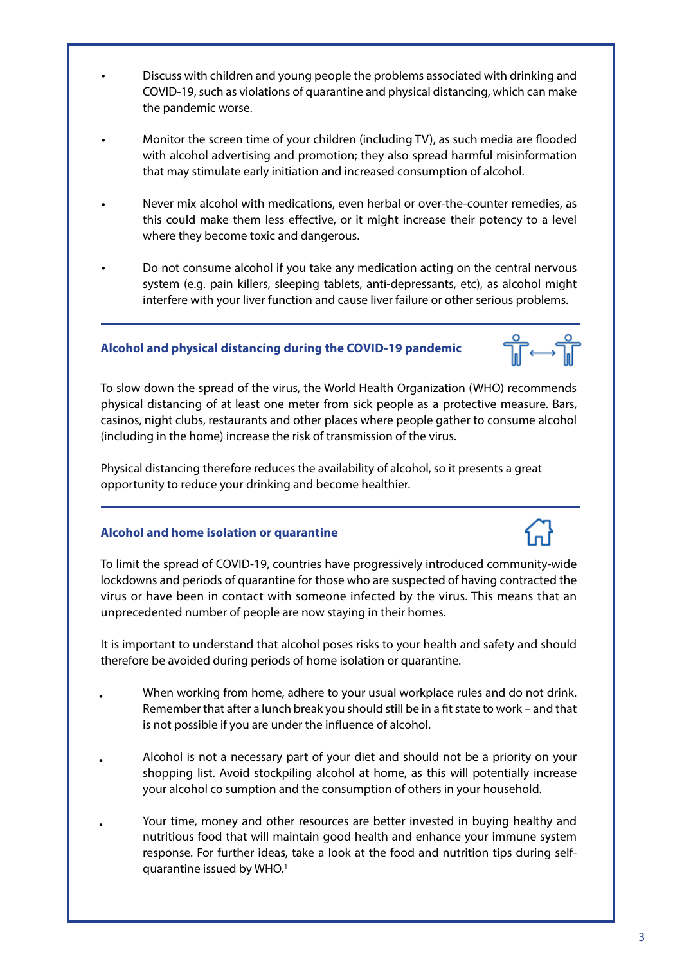- Discuss with children and young people the problems associated with drinking and COVID-19, such as violations of quarantine and physical distancing, which can make the pandemic worse.
- Monitor the screen time of your children (including TV), as such media are flooded with alcohol advertising and promotion; they also spread harmful misinformation that may stimulate early initiation and increased consumption of alcohol.
- Never mix alcohol with medications, even herbal or over-the-counter remedies, as this could make them less effective, or it might increase their potency to a level where they become toxic and dangerous. •
- Do not consume alcohol if you take any medication acting on the central nervous system (e.g. pain killers, sleeping tablets, anti-depressants, etc), as alcohol might interfere with your liver function and cause liver failure or other serious problems. •

## **Alcohol and physical distancing during the COVID-19 pandemic**



To slow down the spread of the virus, the World Health Organization (WHO) recommends physical distancing of at least one meter from sick people as a protective measure. Bars, casinos, night clubs, restaurants and other places where people gather to consume alcohol (including in the home) increase the risk of transmission of the virus.

Physical distancing therefore reduces the availability of alcohol, so it presents a great opportunity to reduce your drinking and become healthier.

## **Alcohol and home isolation or quarantine**

•

 $\overline{\phantom{a}}$ 

•

•

To limit the spread of COVID-19, countries have progressively introduced community-wide lockdowns and periods of quarantine for those who are suspected of having contracted the virus or have been in contact with someone infected by the virus. This means that an unprecedented number of people are now staying in their homes.

It is important to understand that alcohol poses risks to your health and safety and should therefore be avoided during periods of home isolation or quarantine.

- When working from home, adhere to your usual workplace rules and do not drink. Remember that after a lunch break you should still be in a fit state to work – and that is not possible if you are under the influence of alcohol. •
- Alcohol is not a necessary part of your diet and should not be a priority on your shopping list. Avoid stockpiling alcohol at home, as this will potentially increase your alcohol co sumption and the consumption of others in your household. •
	- Your time, money and other resources are better invested in buying healthy and nutritious food that will maintain good health and enhance your immune system response. For further ideas, take a look at the food and nutrition tips during selfquarantine issued by WHO.1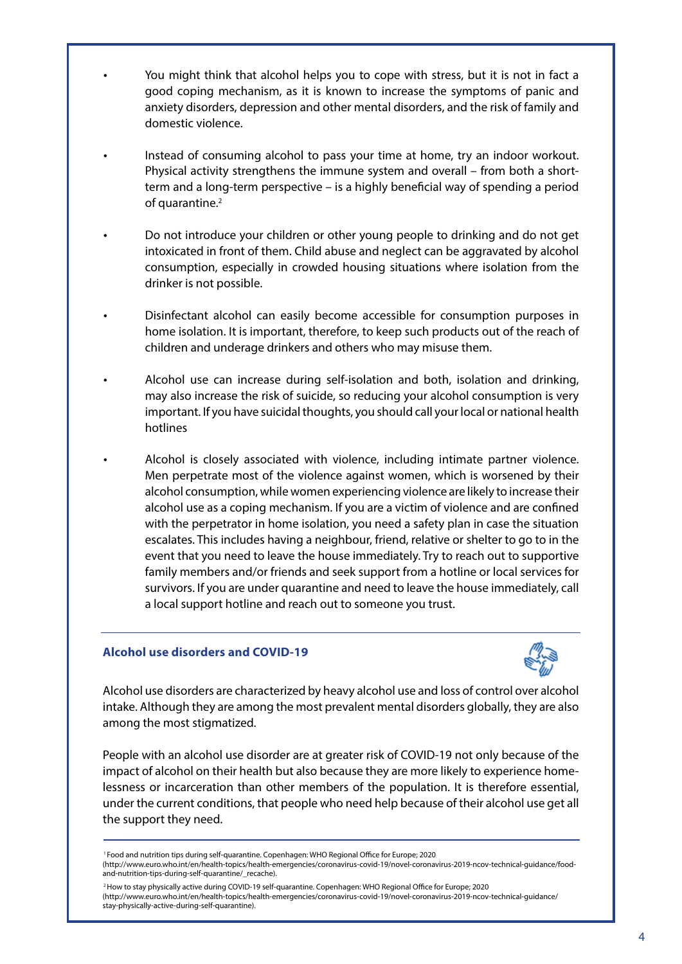- You might think that alcohol helps you to cope with stress, but it is not in fact a good coping mechanism, as it is known to increase the symptoms of panic and anxiety disorders, depression and other mental disorders, and the risk of family and domestic violence.
- Instead of consuming alcohol to pass your time at home, try an indoor workout. Physical activity strengthens the immune system and overall – from both a shortterm and a long-term perspective – is a highly beneficial way of spending a period of quarantine.<sup>2</sup>
- Do not introduce your children or other young people to drinking and do not get intoxicated in front of them. Child abuse and neglect can be aggravated by alcohol consumption, especially in crowded housing situations where isolation from the drinker is not possible.
- Disinfectant alcohol can easily become accessible for consumption purposes in home isolation. It is important, therefore, to keep such products out of the reach of children and underage drinkers and others who may misuse them.
- Alcohol use can increase during self-isolation and both, isolation and drinking, may also increase the risk of suicide, so reducing your alcohol consumption is very important. If you have suicidal thoughts, you should call your local or national health hotlines
	- Alcohol is closely associated with violence, including intimate partner violence. Men perpetrate most of the violence against women, which is worsened by their alcohol consumption, while women experiencing violence are likely to increase their alcohol use as a coping mechanism. If you are a victim of violence and are confined with the perpetrator in home isolation, you need a safety plan in case the situation escalates. This includes having a neighbour, friend, relative or shelter to go to in the event that you need to leave the house immediately. Try to reach out to supportive family members and/or friends and seek support from a hotline or local services for survivors. If you are under quarantine and need to leave the house immediately, call a local support hotline and reach out to someone you trust.

#### **Alcohol use disorders and COVID-19**

•

 $\overline{\phantom{a}}$ 

•

•

•

•

•



Alcohol use disorders are characterized by heavy alcohol use and loss of control over alcohol intake. Although they are among the most prevalent mental disorders globally, they are also among the most stigmatized.

People with an alcohol use disorder are at greater risk of COVID-19 not only because of the impact of alcohol on their health but also because they are more likely to experience homelessness or incarceration than other members of the population. It is therefore essential, under the current conditions, that people who need help because of their alcohol use get all the support they need.

<sup>1</sup> Food and nutrition tips during self-quarantine. Copenhagen: WHO Regional Office for Europe; 2020

<sup>2</sup> How to stay physically active during COVID-19 self-quarantine. Copenhagen: WHO Regional Office for Europe; 2020 (http://www.euro.who.int/en/health-topics/health-emergencies/coronavirus-covid-19/novel-coronavirus-2019-ncov-technical-guidance/ stay-physically-active-during-self-quarantine).

<sup>(</sup>http://www.euro.who.int/en/health-topics/health-emergencies/coronavirus-covid-19/novel-coronavirus-2019-ncov-technical-guidance/foodand-nutrition-tips-during-self-quarantine/\_recache).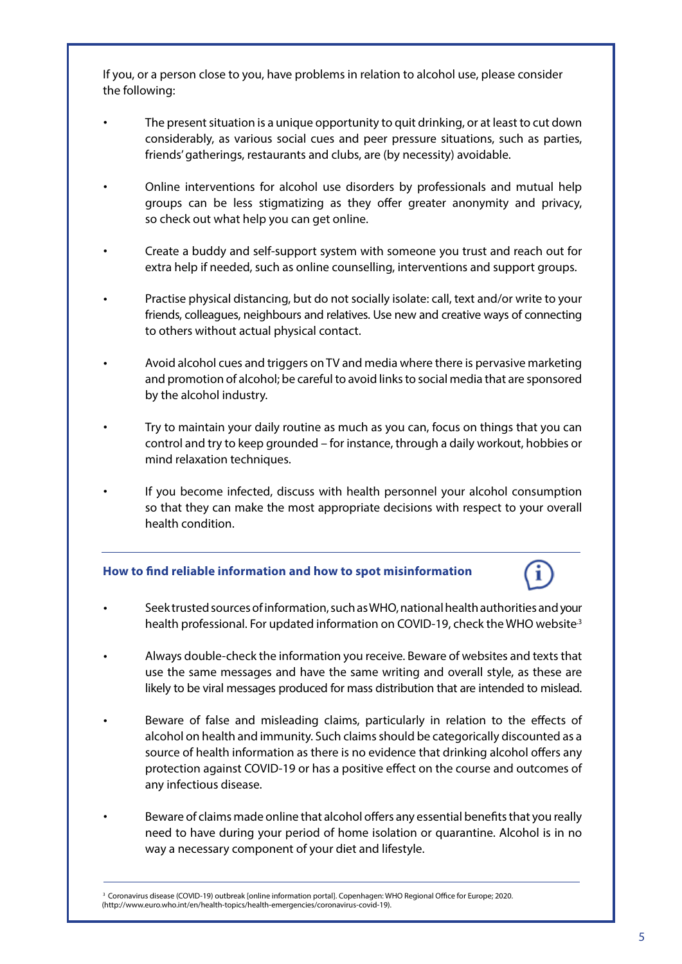If you, or a person close to you, have problems in relation to alcohol use, please consider the following:

 $\overline{\phantom{a}}$ 

- The present situation is a unique opportunity to quit drinking, or at least to cut down considerably, as various social cues and peer pressure situations, such as parties, friends' gatherings, restaurants and clubs, are (by necessity) avoidable. •
- Online interventions for alcohol use disorders by professionals and mutual help groups can be less stigmatizing as they offer greater anonymity and privacy, so check out what help you can get online. •
- Create a buddy and self-support system with someone you trust and reach out for extra help if needed, such as online counselling, interventions and support groups. •
- Practise physical distancing, but do not socially isolate: call, text and/or write to your friends, colleagues, neighbours and relatives. Use new and creative ways of connecting to others without actual physical contact. •
- Avoid alcohol cues and triggers on TV and media where there is pervasive marketing and promotion of alcohol; be careful to avoid links to social media that are sponsored by the alcohol industry. •
- Try to maintain your daily routine as much as you can, focus on things that you can control and try to keep grounded – for instance, through a daily workout, hobbies or mind relaxation techniques. •
- If you become infected, discuss with health personnel your alcohol consumption so that they can make the most appropriate decisions with respect to your overall health condition. •

#### **How to #nd reliable information and how to spot misinformation**

- Seek trusted sources of information, such as WHO, national health authorities and your health professional. For updated information on COVID-19, check the WHO website<sup>3</sup> •
- Always double-check the information you receive. Beware of websites and texts that use the same messages and have the same writing and overall style, as these are likely to be viral messages produced for mass distribution that are intended to mislead. •
- Beware of false and misleading claims, particularly in relation to the effects of alcohol on health and immunity. Such claims should be categorically discounted as a source of health information as there is no evidence that drinking alcohol offers any protection against COVID-19 or has a positive effect on the course and outcomes of any infectious disease. •
- Beware of claims made online that alcohol offers any essential benefits that you really need to have during your period of home isolation or quarantine. Alcohol is in no way a necessary component of your diet and lifestyle. •

<sup>&</sup>lt;sup>3</sup> Coronavirus disease (COVID-19) outbreak [online information portal]. Copenhagen: WHO Regional Office for Europe; 2020. (http://www.euro.who.int/en/health-topics/health-emergencies/coronavirus-covid-19).